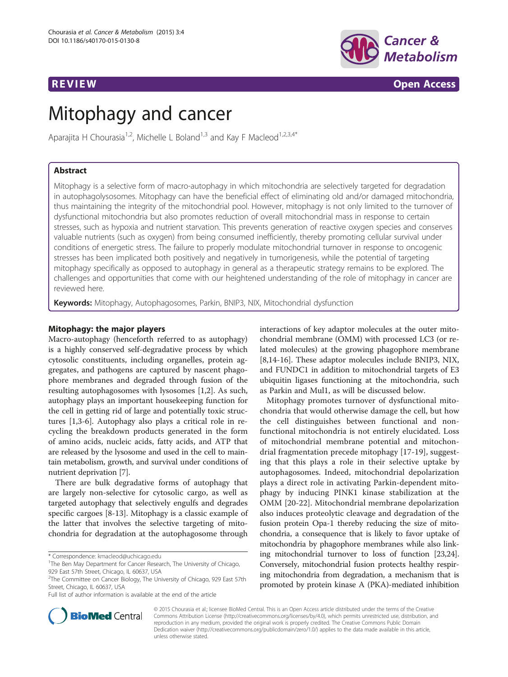

**REVIEW CONSTRUCTION CONSTRUCTION CONSTRUCTS** 

# Mitophagy and cancer

Aparajita H Chourasia<sup>1,2</sup>, Michelle L Boland<sup>1,3</sup> and Kay F Macleod<sup>1,2,3,4\*</sup>

# Abstract

Mitophagy is a selective form of macro-autophagy in which mitochondria are selectively targeted for degradation in autophagolysosomes. Mitophagy can have the beneficial effect of eliminating old and/or damaged mitochondria, thus maintaining the integrity of the mitochondrial pool. However, mitophagy is not only limited to the turnover of dysfunctional mitochondria but also promotes reduction of overall mitochondrial mass in response to certain stresses, such as hypoxia and nutrient starvation. This prevents generation of reactive oxygen species and conserves valuable nutrients (such as oxygen) from being consumed inefficiently, thereby promoting cellular survival under conditions of energetic stress. The failure to properly modulate mitochondrial turnover in response to oncogenic stresses has been implicated both positively and negatively in tumorigenesis, while the potential of targeting mitophagy specifically as opposed to autophagy in general as a therapeutic strategy remains to be explored. The challenges and opportunities that come with our heightened understanding of the role of mitophagy in cancer are reviewed here.

Keywords: Mitophagy, Autophagosomes, Parkin, BNIP3, NIX, Mitochondrial dysfunction

# Mitophagy: the major players

Macro-autophagy (henceforth referred to as autophagy) is a highly conserved self-degradative process by which cytosolic constituents, including organelles, protein aggregates, and pathogens are captured by nascent phagophore membranes and degraded through fusion of the resulting autophagosomes with lysosomes [\[1,2](#page-7-0)]. As such, autophagy plays an important housekeeping function for the cell in getting rid of large and potentially toxic structures [\[1,3](#page-7-0)-[6\]](#page-7-0). Autophagy also plays a critical role in recycling the breakdown products generated in the form of amino acids, nucleic acids, fatty acids, and ATP that are released by the lysosome and used in the cell to maintain metabolism, growth, and survival under conditions of nutrient deprivation [[7\]](#page-8-0).

There are bulk degradative forms of autophagy that are largely non-selective for cytosolic cargo, as well as targeted autophagy that selectively engulfs and degrades specific cargoes [[8-13\]](#page-8-0). Mitophagy is a classic example of the latter that involves the selective targeting of mitochondria for degradation at the autophagosome through

Full list of author information is available at the end of the article

interactions of key adaptor molecules at the outer mitochondrial membrane (OMM) with processed LC3 (or related molecules) at the growing phagophore membrane [[8,14-16](#page-8-0)]. These adaptor molecules include BNIP3, NIX, and FUNDC1 in addition to mitochondrial targets of E3 ubiquitin ligases functioning at the mitochondria, such as Parkin and Mul1, as will be discussed below.

Mitophagy promotes turnover of dysfunctional mitochondria that would otherwise damage the cell, but how the cell distinguishes between functional and nonfunctional mitochondria is not entirely elucidated. Loss of mitochondrial membrane potential and mitochondrial fragmentation precede mitophagy [[17-19](#page-8-0)], suggesting that this plays a role in their selective uptake by autophagosomes. Indeed, mitochondrial depolarization plays a direct role in activating Parkin-dependent mitophagy by inducing PINK1 kinase stabilization at the OMM [[20](#page-8-0)-[22\]](#page-8-0). Mitochondrial membrane depolarization also induces proteolytic cleavage and degradation of the fusion protein Opa-1 thereby reducing the size of mitochondria, a consequence that is likely to favor uptake of mitochondria by phagophore membranes while also linking mitochondrial turnover to loss of function [\[23,24](#page-8-0)]. Conversely, mitochondrial fusion protects healthy respiring mitochondria from degradation, a mechanism that is promoted by protein kinase A (PKA)-mediated inhibition



© 2015 Chourasia et al.; licensee BioMed Central. This is an Open Access article distributed under the terms of the Creative Commons Attribution License [\(http://creativecommons.org/licenses/by/4.0\)](http://creativecommons.org/licenses/by/4.0), which permits unrestricted use, distribution, and reproduction in any medium, provided the original work is properly credited. The Creative Commons Public Domain Dedication waiver [\(http://creativecommons.org/publicdomain/zero/1.0/](http://creativecommons.org/publicdomain/zero/1.0/)) applies to the data made available in this article, unless otherwise stated.

<sup>\*</sup> Correspondence: [kmacleod@uchicago.edu](mailto:kmacleod@uchicago.edu) <sup>1</sup>

<sup>&</sup>lt;sup>1</sup>The Ben May Department for Cancer Research, The University of Chicago, 929 East 57th Street, Chicago, IL 60637, USA

<sup>&</sup>lt;sup>2</sup>The Committee on Cancer Biology, The University of Chicago, 929 East 57th Street, Chicago, IL 60637, USA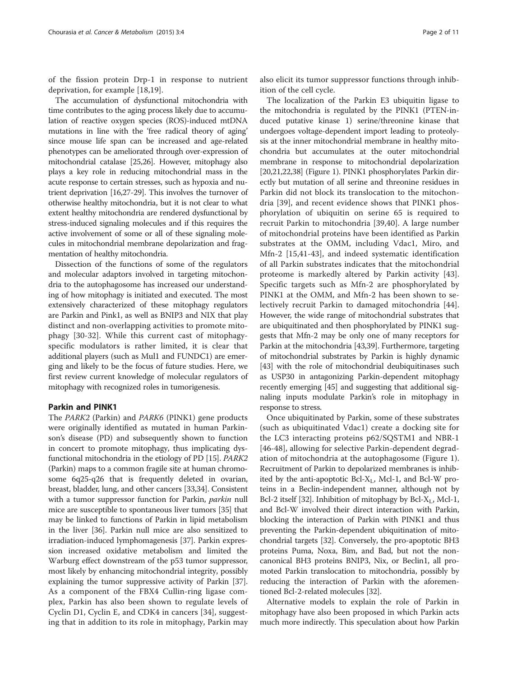of the fission protein Drp-1 in response to nutrient deprivation, for example [[18,19](#page-8-0)].

The accumulation of dysfunctional mitochondria with time contributes to the aging process likely due to accumulation of reactive oxygen species (ROS)-induced mtDNA mutations in line with the 'free radical theory of aging' since mouse life span can be increased and age-related phenotypes can be ameliorated through over-expression of mitochondrial catalase [[25,26\]](#page-8-0). However, mitophagy also plays a key role in reducing mitochondrial mass in the acute response to certain stresses, such as hypoxia and nutrient deprivation [\[16,27](#page-8-0)-[29](#page-8-0)]. This involves the turnover of otherwise healthy mitochondria, but it is not clear to what extent healthy mitochondria are rendered dysfunctional by stress-induced signaling molecules and if this requires the active involvement of some or all of these signaling molecules in mitochondrial membrane depolarization and fragmentation of healthy mitochondria.

Dissection of the functions of some of the regulators and molecular adaptors involved in targeting mitochondria to the autophagosome has increased our understanding of how mitophagy is initiated and executed. The most extensively characterized of these mitophagy regulators are Parkin and Pink1, as well as BNIP3 and NIX that play distinct and non-overlapping activities to promote mitophagy [\[30](#page-8-0)-[32\]](#page-8-0). While this current cast of mitophagyspecific modulators is rather limited, it is clear that additional players (such as Mul1 and FUNDC1) are emerging and likely to be the focus of future studies. Here, we first review current knowledge of molecular regulators of mitophagy with recognized roles in tumorigenesis.

# Parkin and PINK1

The PARK2 (Parkin) and PARK6 (PINK1) gene products were originally identified as mutated in human Parkinson's disease (PD) and subsequently shown to function in concert to promote mitophagy, thus implicating dysfunctional mitochondria in the etiology of PD [\[15](#page-8-0)]. PARK2 (Parkin) maps to a common fragile site at human chromosome 6q25-q26 that is frequently deleted in ovarian, breast, bladder, lung, and other cancers [[33](#page-8-0),[34](#page-8-0)]. Consistent with a tumor suppressor function for Parkin, *parkin* null mice are susceptible to spontaneous liver tumors [\[35\]](#page-8-0) that may be linked to functions of Parkin in lipid metabolism in the liver [\[36](#page-8-0)]. Parkin null mice are also sensitized to irradiation-induced lymphomagenesis [\[37\]](#page-8-0). Parkin expression increased oxidative metabolism and limited the Warburg effect downstream of the p53 tumor suppressor, most likely by enhancing mitochondrial integrity, possibly explaining the tumor suppressive activity of Parkin [[37](#page-8-0)]. As a component of the FBX4 Cullin-ring ligase complex, Parkin has also been shown to regulate levels of Cyclin D1, Cyclin E, and CDK4 in cancers [\[34](#page-8-0)], suggesting that in addition to its role in mitophagy, Parkin may

also elicit its tumor suppressor functions through inhibition of the cell cycle.

The localization of the Parkin E3 ubiquitin ligase to the mitochondria is regulated by the PINK1 (PTEN-induced putative kinase 1) serine/threonine kinase that undergoes voltage-dependent import leading to proteolysis at the inner mitochondrial membrane in healthy mitochondria but accumulates at the outer mitochondrial membrane in response to mitochondrial depolarization [[20](#page-8-0),[21,22,38\]](#page-8-0) (Figure [1](#page-2-0)). PINK1 phosphorylates Parkin directly but mutation of all serine and threonine residues in Parkin did not block its translocation to the mitochondria [[39\]](#page-8-0), and recent evidence shows that PINK1 phosphorylation of ubiquitin on serine 65 is required to recruit Parkin to mitochondria [[39,40](#page-8-0)]. A large number of mitochondrial proteins have been identified as Parkin substrates at the OMM, including Vdac1, Miro, and Mfn-2 [[15,41-43\]](#page-8-0), and indeed systematic identification of all Parkin substrates indicates that the mitochondrial proteome is markedly altered by Parkin activity [\[43](#page-8-0)]. Specific targets such as Mfn-2 are phosphorylated by PINK1 at the OMM, and Mfn-2 has been shown to selectively recruit Parkin to damaged mitochondria [\[44](#page-8-0)]. However, the wide range of mitochondrial substrates that are ubiquitinated and then phosphorylated by PINK1 suggests that Mfn-2 may be only one of many receptors for Parkin at the mitochondria [\[43,39\]](#page-8-0). Furthermore, targeting of mitochondrial substrates by Parkin is highly dynamic [[43](#page-8-0)] with the role of mitochondrial deubiquitinases such as USP30 in antagonizing Parkin-dependent mitophagy recently emerging [\[45](#page-8-0)] and suggesting that additional signaling inputs modulate Parkin's role in mitophagy in response to stress.

Once ubiquitinated by Parkin, some of these substrates (such as ubiquitinated Vdac1) create a docking site for the LC3 interacting proteins p62/SQSTM1 and NBR-1 [[46-48\]](#page-8-0), allowing for selective Parkin-dependent degradation of mitochondria at the autophagosome (Figure [1](#page-2-0)). Recruitment of Parkin to depolarized membranes is inhibited by the anti-apoptotic  $Bcl-X_L$ , Mcl-1, and  $Bcl-W$  proteins in a Beclin-independent manner, although not by Bcl-2 itself [\[32\]](#page-8-0). Inhibition of mitophagy by Bcl- $X_L$ , Mcl-1, and Bcl-W involved their direct interaction with Parkin, blocking the interaction of Parkin with PINK1 and thus preventing the Parkin-dependent ubiquitination of mitochondrial targets [\[32\]](#page-8-0). Conversely, the pro-apoptotic BH3 proteins Puma, Noxa, Bim, and Bad, but not the noncanonical BH3 proteins BNIP3, Nix, or Beclin1, all promoted Parkin translocation to mitochondria, possibly by reducing the interaction of Parkin with the aforementioned Bcl-2-related molecules [[32](#page-8-0)].

Alternative models to explain the role of Parkin in mitophagy have also been proposed in which Parkin acts much more indirectly. This speculation about how Parkin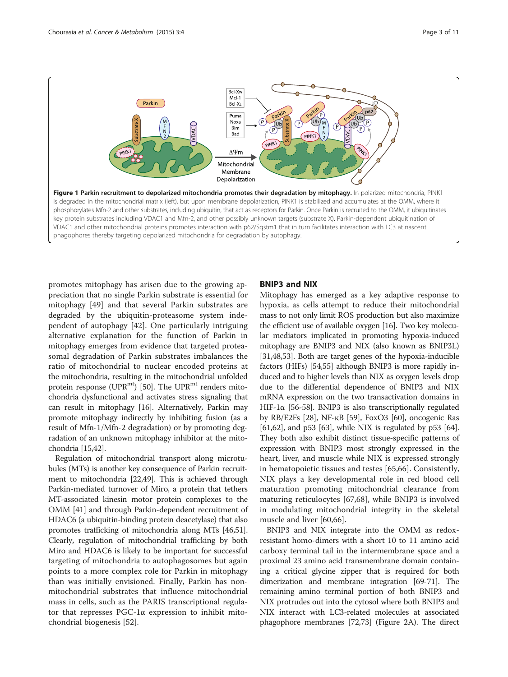<span id="page-2-0"></span>

promotes mitophagy has arisen due to the growing appreciation that no single Parkin substrate is essential for mitophagy [\[49](#page-8-0)] and that several Parkin substrates are degraded by the ubiquitin-proteasome system independent of autophagy [[42\]](#page-8-0). One particularly intriguing alternative explanation for the function of Parkin in mitophagy emerges from evidence that targeted proteasomal degradation of Parkin substrates imbalances the ratio of mitochondrial to nuclear encoded proteins at the mitochondria, resulting in the mitochondrial unfolded protein response ( $UPR^{mt}$ ) [\[50\]](#page-8-0). The  $UPR^{mt}$  renders mitochondria dysfunctional and activates stress signaling that can result in mitophagy [\[16](#page-8-0)]. Alternatively, Parkin may promote mitophagy indirectly by inhibiting fusion (as a result of Mfn-1/Mfn-2 degradation) or by promoting degradation of an unknown mitophagy inhibitor at the mitochondria [[15,42](#page-8-0)].

Regulation of mitochondrial transport along microtubules (MTs) is another key consequence of Parkin recruitment to mitochondria [\[22,49](#page-8-0)]. This is achieved through Parkin-mediated turnover of Miro, a protein that tethers MT-associated kinesin motor protein complexes to the OMM [\[41](#page-8-0)] and through Parkin-dependent recruitment of HDAC6 (a ubiquitin-binding protein deacetylase) that also promotes trafficking of mitochondria along MTs [\[46,51](#page-8-0)]. Clearly, regulation of mitochondrial trafficking by both Miro and HDAC6 is likely to be important for successful targeting of mitochondria to autophagosomes but again points to a more complex role for Parkin in mitophagy than was initially envisioned. Finally, Parkin has nonmitochondrial substrates that influence mitochondrial mass in cells, such as the PARIS transcriptional regulator that represses PGC-1α expression to inhibit mitochondrial biogenesis [\[52](#page-8-0)].

# BNIP3 and NIX

Mitophagy has emerged as a key adaptive response to hypoxia, as cells attempt to reduce their mitochondrial mass to not only limit ROS production but also maximize the efficient use of available oxygen [\[16\]](#page-8-0). Two key molecular mediators implicated in promoting hypoxia-induced mitophagy are BNIP3 and NIX (also known as BNIP3L) [[31](#page-8-0),[48,53\]](#page-8-0). Both are target genes of the hypoxia-inducible factors (HIFs) [[54,55\]](#page-8-0) although BNIP3 is more rapidly induced and to higher levels than NIX as oxygen levels drop due to the differential dependence of BNIP3 and NIX mRNA expression on the two transactivation domains in HIF-1 $\alpha$  [\[56-](#page-8-0)[58\]](#page-9-0). BNIP3 is also transcriptionally regulated by RB/E2Fs [\[28\]](#page-8-0), NF-κB [[59](#page-9-0)], FoxO3 [[60](#page-9-0)], oncogenic Ras [[61](#page-9-0),[62](#page-9-0)], and p53 [[63](#page-9-0)], while NIX is regulated by p53 [[64](#page-9-0)]. They both also exhibit distinct tissue-specific patterns of expression with BNIP3 most strongly expressed in the heart, liver, and muscle while NIX is expressed strongly in hematopoietic tissues and testes [[65,66\]](#page-9-0). Consistently, NIX plays a key developmental role in red blood cell maturation promoting mitochondrial clearance from maturing reticulocytes [[67,68](#page-9-0)], while BNIP3 is involved in modulating mitochondrial integrity in the skeletal muscle and liver [[60,66\]](#page-9-0).

BNIP3 and NIX integrate into the OMM as redoxresistant homo-dimers with a short 10 to 11 amino acid carboxy terminal tail in the intermembrane space and a proximal 23 amino acid transmembrane domain containing a critical glycine zipper that is required for both dimerization and membrane integration [[69](#page-9-0)-[71](#page-9-0)]. The remaining amino terminal portion of both BNIP3 and NIX protrudes out into the cytosol where both BNIP3 and NIX interact with LC3-related molecules at associated phagophore membranes [\[72,73\]](#page-9-0) (Figure [2](#page-3-0)A). The direct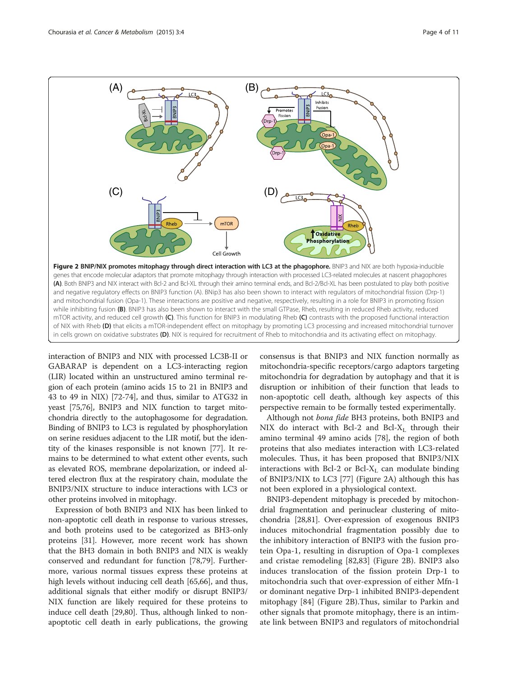<span id="page-3-0"></span>

interaction of BNIP3 and NIX with processed LC3B-II or GABARAP is dependent on a LC3-interacting region (LIR) located within an unstructured amino terminal region of each protein (amino acids 15 to 21 in BNIP3 and 43 to 49 in NIX) [[72](#page-9-0)-[74](#page-9-0)], and thus, similar to ATG32 in yeast [\[75,76\]](#page-9-0), BNIP3 and NIX function to target mitochondria directly to the autophagosome for degradation. Binding of BNIP3 to LC3 is regulated by phosphorylation on serine residues adjacent to the LIR motif, but the identity of the kinases responsible is not known [\[77\]](#page-9-0). It remains to be determined to what extent other events, such as elevated ROS, membrane depolarization, or indeed altered electron flux at the respiratory chain, modulate the BNIP3/NIX structure to induce interactions with LC3 or other proteins involved in mitophagy.

Expression of both BNIP3 and NIX has been linked to non-apoptotic cell death in response to various stresses, and both proteins used to be categorized as BH3-only proteins [\[31](#page-8-0)]. However, more recent work has shown that the BH3 domain in both BNIP3 and NIX is weakly conserved and redundant for function [\[78,79\]](#page-9-0). Furthermore, various normal tissues express these proteins at high levels without inducing cell death [\[65,66\]](#page-9-0), and thus, additional signals that either modify or disrupt BNIP3/ NIX function are likely required for these proteins to induce cell death [\[29,](#page-8-0)[80\]](#page-9-0). Thus, although linked to nonapoptotic cell death in early publications, the growing consensus is that BNIP3 and NIX function normally as mitochondria-specific receptors/cargo adaptors targeting mitochondria for degradation by autophagy and that it is disruption or inhibition of their function that leads to non-apoptotic cell death, although key aspects of this perspective remain to be formally tested experimentally.

Although not bona fide BH3 proteins, both BNIP3 and NIX do interact with Bcl-2 and Bcl- $X_L$  through their amino terminal 49 amino acids [[78](#page-9-0)], the region of both proteins that also mediates interaction with LC3-related molecules. Thus, it has been proposed that BNIP3/NIX interactions with Bcl-2 or Bcl- $X_L$  can modulate binding of BNIP3/NIX to LC3 [[77\]](#page-9-0) (Figure 2A) although this has not been explored in a physiological context.

BNIP3-dependent mitophagy is preceded by mitochondrial fragmentation and perinuclear clustering of mitochondria [[28](#page-8-0)[,81\]](#page-9-0). Over-expression of exogenous BNIP3 induces mitochondrial fragmentation possibly due to the inhibitory interaction of BNIP3 with the fusion protein Opa-1, resulting in disruption of Opa-1 complexes and cristae remodeling [[82,83\]](#page-9-0) (Figure 2B). BNIP3 also induces translocation of the fission protein Drp-1 to mitochondria such that over-expression of either Mfn-1 or dominant negative Drp-1 inhibited BNIP3-dependent mitophagy [\[84](#page-9-0)] (Figure 2B).Thus, similar to Parkin and other signals that promote mitophagy, there is an intimate link between BNIP3 and regulators of mitochondrial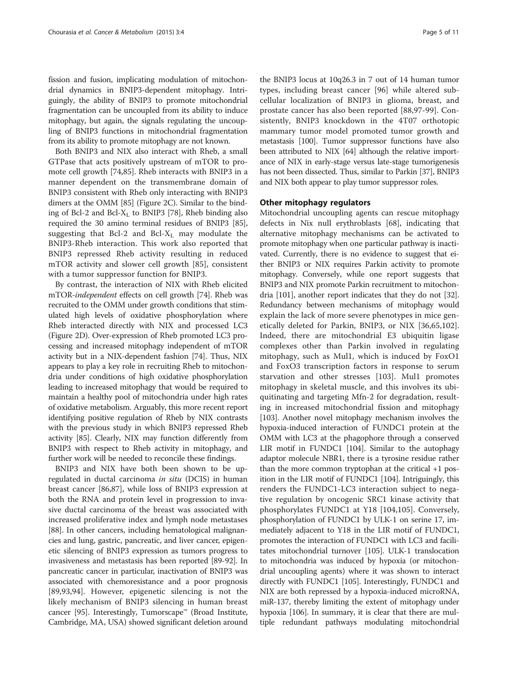fission and fusion, implicating modulation of mitochondrial dynamics in BNIP3-dependent mitophagy. Intriguingly, the ability of BNIP3 to promote mitochondrial fragmentation can be uncoupled from its ability to induce mitophagy, but again, the signals regulating the uncoupling of BNIP3 functions in mitochondrial fragmentation from its ability to promote mitophagy are not known.

Both BNIP3 and NIX also interact with Rheb, a small GTPase that acts positively upstream of mTOR to promote cell growth [\[74,85](#page-9-0)]. Rheb interacts with BNIP3 in a manner dependent on the transmembrane domain of BNIP3 consistent with Rheb only interacting with BNIP3 dimers at the OMM [[85](#page-9-0)] (Figure [2](#page-3-0)C). Similar to the binding of Bcl-2 and Bcl- $X_L$  to BNIP3 [[78](#page-9-0)], Rheb binding also required the 30 amino terminal residues of BNIP3 [[85](#page-9-0)], suggesting that Bcl-2 and Bcl- $X_L$  may modulate the BNIP3-Rheb interaction. This work also reported that BNIP3 repressed Rheb activity resulting in reduced mTOR activity and slower cell growth [[85\]](#page-9-0), consistent with a tumor suppressor function for BNIP3.

By contrast, the interaction of NIX with Rheb elicited mTOR-independent effects on cell growth [[74](#page-9-0)]. Rheb was recruited to the OMM under growth conditions that stimulated high levels of oxidative phosphorylation where Rheb interacted directly with NIX and processed LC3 (Figure [2D](#page-3-0)). Over-expression of Rheb promoted LC3 processing and increased mitophagy independent of mTOR activity but in a NIX-dependent fashion [\[74\]](#page-9-0). Thus, NIX appears to play a key role in recruiting Rheb to mitochondria under conditions of high oxidative phosphorylation leading to increased mitophagy that would be required to maintain a healthy pool of mitochondria under high rates of oxidative metabolism. Arguably, this more recent report identifying positive regulation of Rheb by NIX contrasts with the previous study in which BNIP3 repressed Rheb activity [\[85](#page-9-0)]. Clearly, NIX may function differently from BNIP3 with respect to Rheb activity in mitophagy, and further work will be needed to reconcile these findings.

BNIP3 and NIX have both been shown to be upregulated in ductal carcinoma *in situ* (DCIS) in human breast cancer [[86](#page-9-0),[87](#page-9-0)], while loss of BNIP3 expression at both the RNA and protein level in progression to invasive ductal carcinoma of the breast was associated with increased proliferative index and lymph node metastases [[88](#page-9-0)]. In other cancers, including hematological malignancies and lung, gastric, pancreatic, and liver cancer, epigenetic silencing of BNIP3 expression as tumors progress to invasiveness and metastasis has been reported [[89](#page-9-0)-[92](#page-9-0)]. In pancreatic cancer in particular, inactivation of BNIP3 was associated with chemoresistance and a poor prognosis [[89,93,94](#page-9-0)]. However, epigenetic silencing is not the likely mechanism of BNIP3 silencing in human breast cancer [\[95\]](#page-9-0). Interestingly, Tumorscape™ (Broad Institute, Cambridge, MA, USA) showed significant deletion around

the BNIP3 locus at 10q26.3 in 7 out of 14 human tumor types, including breast cancer [\[96](#page-9-0)] while altered subcellular localization of BNIP3 in glioma, breast, and prostate cancer has also been reported [[88,97](#page-9-0)-[99\]](#page-9-0). Consistently, BNIP3 knockdown in the 4T07 orthotopic mammary tumor model promoted tumor growth and metastasis [\[100](#page-9-0)]. Tumor suppressor functions have also been attributed to NIX [\[64\]](#page-9-0) although the relative importance of NIX in early-stage versus late-stage tumorigenesis has not been dissected. Thus, similar to Parkin [\[37](#page-8-0)], BNIP3 and NIX both appear to play tumor suppressor roles.

### Other mitophagy regulators

Mitochondrial uncoupling agents can rescue mitophagy defects in Nix null erythroblasts [[68\]](#page-9-0), indicating that alternative mitophagy mechanisms can be activated to promote mitophagy when one particular pathway is inactivated. Currently, there is no evidence to suggest that either BNIP3 or NIX requires Parkin activity to promote mitophagy. Conversely, while one report suggests that BNIP3 and NIX promote Parkin recruitment to mitochondria [[101](#page-9-0)], another report indicates that they do not [[32](#page-8-0)]. Redundancy between mechanisms of mitophagy would explain the lack of more severe phenotypes in mice genetically deleted for Parkin, BNIP3, or NIX [[36,](#page-8-0)[65,102](#page-9-0)]. Indeed, there are mitochondrial E3 ubiquitin ligase complexes other than Parkin involved in regulating mitophagy, such as Mul1, which is induced by FoxO1 and FoxO3 transcription factors in response to serum starvation and other stresses [[103\]](#page-10-0). Mul1 promotes mitophagy in skeletal muscle, and this involves its ubiquitinating and targeting Mfn-2 for degradation, resulting in increased mitochondrial fission and mitophagy [[103](#page-10-0)]. Another novel mitophagy mechanism involves the hypoxia-induced interaction of FUNDC1 protein at the OMM with LC3 at the phagophore through a conserved LIR motif in FUNDC1 [\[104\]](#page-10-0). Similar to the autophagy adaptor molecule NBR1, there is a tyrosine residue rather than the more common tryptophan at the critical +1 position in the LIR motif of FUNDC1 [[104](#page-10-0)]. Intriguingly, this renders the FUNDC1-LC3 interaction subject to negative regulation by oncogenic SRC1 kinase activity that phosphorylates FUNDC1 at Y18 [\[104,105](#page-10-0)]. Conversely, phosphorylation of FUNDC1 by ULK-1 on serine 17, immediately adjacent to Y18 in the LIR motif of FUNDC1, promotes the interaction of FUNDC1 with LC3 and facilitates mitochondrial turnover [\[105](#page-10-0)]. ULK-1 translocation to mitochondria was induced by hypoxia (or mitochondrial uncoupling agents) where it was shown to interact directly with FUNDC1 [[105](#page-10-0)]. Interestingly, FUNDC1 and NIX are both repressed by a hypoxia-induced microRNA, miR-137, thereby limiting the extent of mitophagy under hypoxia [\[106\]](#page-10-0). In summary, it is clear that there are multiple redundant pathways modulating mitochondrial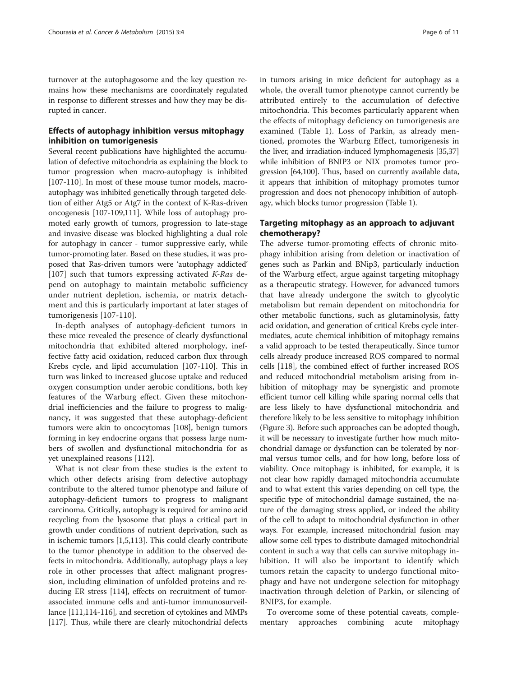turnover at the autophagosome and the key question remains how these mechanisms are coordinately regulated in response to different stresses and how they may be disrupted in cancer.

# Effects of autophagy inhibition versus mitophagy inhibition on tumorigenesis

Several recent publications have highlighted the accumulation of defective mitochondria as explaining the block to tumor progression when macro-autophagy is inhibited [[107](#page-10-0)-[110](#page-10-0)]. In most of these mouse tumor models, macroautophagy was inhibited genetically through targeted deletion of either Atg5 or Atg7 in the context of K-Ras-driven oncogenesis [[107](#page-10-0)-[109,111\]](#page-10-0). While loss of autophagy promoted early growth of tumors, progression to late-stage and invasive disease was blocked highlighting a dual role for autophagy in cancer - tumor suppressive early, while tumor-promoting later. Based on these studies, it was proposed that Ras-driven tumors were 'autophagy addicted' [[107\]](#page-10-0) such that tumors expressing activated  $K-Ras$  depend on autophagy to maintain metabolic sufficiency under nutrient depletion, ischemia, or matrix detachment and this is particularly important at later stages of tumorigenesis [[107-110](#page-10-0)].

In-depth analyses of autophagy-deficient tumors in these mice revealed the presence of clearly dysfunctional mitochondria that exhibited altered morphology, ineffective fatty acid oxidation, reduced carbon flux through Krebs cycle, and lipid accumulation [[107-110\]](#page-10-0). This in turn was linked to increased glucose uptake and reduced oxygen consumption under aerobic conditions, both key features of the Warburg effect. Given these mitochondrial inefficiencies and the failure to progress to malignancy, it was suggested that these autophagy-deficient tumors were akin to oncocytomas [\[108\]](#page-10-0), benign tumors forming in key endocrine organs that possess large numbers of swollen and dysfunctional mitochondria for as yet unexplained reasons [\[112\]](#page-10-0).

What is not clear from these studies is the extent to which other defects arising from defective autophagy contribute to the altered tumor phenotype and failure of autophagy-deficient tumors to progress to malignant carcinoma. Critically, autophagy is required for amino acid recycling from the lysosome that plays a critical part in growth under conditions of nutrient deprivation, such as in ischemic tumors [\[1,5](#page-7-0)[,113](#page-10-0)]. This could clearly contribute to the tumor phenotype in addition to the observed defects in mitochondria. Additionally, autophagy plays a key role in other processes that affect malignant progression, including elimination of unfolded proteins and reducing ER stress [\[114](#page-10-0)], effects on recruitment of tumorassociated immune cells and anti-tumor immunosurveillance [\[111,114](#page-10-0)-[116](#page-10-0)], and secretion of cytokines and MMPs [[117](#page-10-0)]. Thus, while there are clearly mitochondrial defects in tumors arising in mice deficient for autophagy as a whole, the overall tumor phenotype cannot currently be attributed entirely to the accumulation of defective mitochondria. This becomes particularly apparent when the effects of mitophagy deficiency on tumorigenesis are examined (Table [1](#page-6-0)). Loss of Parkin, as already mentioned, promotes the Warburg Effect, tumorigenesis in the liver, and irradiation-induced lymphomagenesis [\[35,37](#page-8-0)] while inhibition of BNIP3 or NIX promotes tumor progression [[64,100](#page-9-0)]. Thus, based on currently available data, it appears that inhibition of mitophagy promotes tumor progression and does not phenocopy inhibition of autophagy, which blocks tumor progression (Table [1](#page-6-0)).

# Targeting mitophagy as an approach to adjuvant chemotherapy?

The adverse tumor-promoting effects of chronic mitophagy inhibition arising from deletion or inactivation of genes such as Parkin and BNip3, particularly induction of the Warburg effect, argue against targeting mitophagy as a therapeutic strategy. However, for advanced tumors that have already undergone the switch to glycolytic metabolism but remain dependent on mitochondria for other metabolic functions, such as glutaminolysis, fatty acid oxidation, and generation of critical Krebs cycle intermediates, acute chemical inhibition of mitophagy remains a valid approach to be tested therapeutically. Since tumor cells already produce increased ROS compared to normal cells [[118](#page-10-0)], the combined effect of further increased ROS and reduced mitochondrial metabolism arising from inhibition of mitophagy may be synergistic and promote efficient tumor cell killing while sparing normal cells that are less likely to have dysfunctional mitochondria and therefore likely to be less sensitive to mitophagy inhibition (Figure [3](#page-6-0)). Before such approaches can be adopted though, it will be necessary to investigate further how much mitochondrial damage or dysfunction can be tolerated by normal versus tumor cells, and for how long, before loss of viability. Once mitophagy is inhibited, for example, it is not clear how rapidly damaged mitochondria accumulate and to what extent this varies depending on cell type, the specific type of mitochondrial damage sustained, the nature of the damaging stress applied, or indeed the ability of the cell to adapt to mitochondrial dysfunction in other ways. For example, increased mitochondrial fusion may allow some cell types to distribute damaged mitochondrial content in such a way that cells can survive mitophagy inhibition. It will also be important to identify which tumors retain the capacity to undergo functional mitophagy and have not undergone selection for mitophagy inactivation through deletion of Parkin, or silencing of BNIP3, for example.

To overcome some of these potential caveats, complementary approaches combining acute mitophagy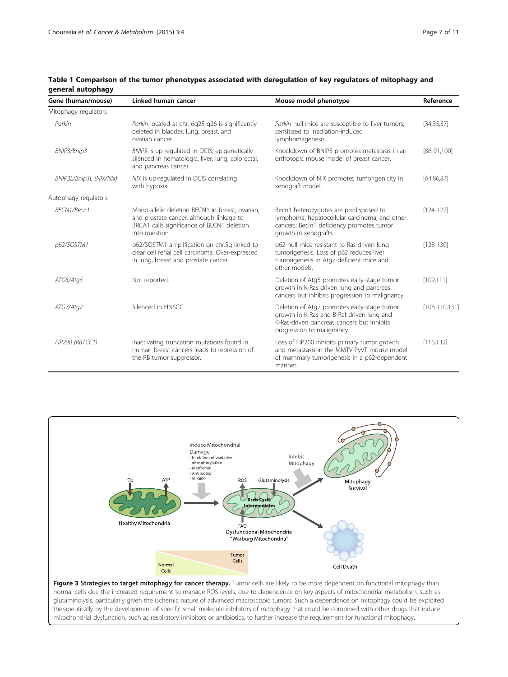| Gene (human/mouse)      | Linked human cancer                                                                                                                                         | Mouse model phenotype                                                                                                                                                | Reference          |
|-------------------------|-------------------------------------------------------------------------------------------------------------------------------------------------------------|----------------------------------------------------------------------------------------------------------------------------------------------------------------------|--------------------|
| Mitophagy regulators    |                                                                                                                                                             |                                                                                                                                                                      |                    |
| Parkin                  | Parkin located at chr. 6q25-q26 is significantly<br>deleted in bladder, lung, breast, and<br>ovarian cancer.                                                | Parkin null mice are susceptible to liver tumors;<br>sensitized to irradiation-induced<br>lymphomagenesis.                                                           | [34, 35, 37]       |
| BNIP3/Bnip3             | BNIP3 is up-regulated in DCIS; epigenetically<br>silenced in hematologic, liver, lung, colorectal,<br>and pancreas cancer.                                  | Knockdown of BNIP3 promotes metastasis in an<br>orthotopic mouse model of breast cancer.                                                                             | $[86-91,100]$      |
| BNIP3L/Bnip3L (NIX/Nix) | NIX is up-regulated in DCIS correlating<br>with hypoxia.                                                                                                    | Knockdown of NIX promotes tumorigenicity in<br>xenograft model.                                                                                                      | [64, 86, 87]       |
| Autophagy regulators    |                                                                                                                                                             |                                                                                                                                                                      |                    |
| BFCN1/Becn1             | Mono-allelic deletion BECN1 in breast, ovarian,<br>and prostate cancer, although linkage to<br>BRCA1 calls significance of BECN1 deletion<br>into question. | Becn1 heterozygotes are predisposed to<br>lymphoma, hepatocellular carcinoma, and other<br>cancers; Becln1 deficiency promotes tumor<br>growth in xenografts.        | $[124-127]$        |
| p62/SQSTM1              | p62/SQSTM1 amplification on chr.5q linked to<br>clear cell renal cell carcinoma. Over-expressed<br>in lung, breast and prostate cancer.                     | p62-null mice resistant to Ras-driven lung<br>tumorigenesis. Loss of p62 reduces liver<br>tumorigenesis in Atg7-deficient mice and<br>other models.                  | $[128 - 130]$      |
| ATG5/Atg5               | Not reported.                                                                                                                                               | Deletion of Atg5 promotes early-stage tumor<br>growth in K-Ras driven lung and pancreas<br>cancers but inhibits progression to malignancy.                           | [109, 111]         |
| ATG7/Atg7               | Silenced in HNSCC.                                                                                                                                          | Deletion of Atg7 promotes early-stage tumor<br>growth in K-Ras and B-Raf-driven lung and<br>K-Ras-driven pancreas cancers but inhibits<br>progression to malignancy. | $[108 - 110, 131]$ |
| FIP200 (RB1CC1)         | Inactivating truncation mutations found in<br>human breast cancers leads to repression of<br>the RB tumor suppressor.                                       | Loss of FIP200 inhibits primary tumor growth<br>and metastasis in the MMTV-PyVT mouse model<br>of mammary tumorigenesis in a p62-dependent<br>manner.                | [116, 132]         |

# <span id="page-6-0"></span>Table 1 Comparison of the tumor phenotypes associated with deregulation of key regulators of mitophagy and general autophagy



normal cells due the increased requirement to manage ROS levels, due to dependence on key aspects of mitochondrial metabolism, such as glutaminolysis, particularly given the ischemic nature of advanced macroscopic tumors. Such a dependence on mitophagy could be exploited therapeutically by the development of specific small molecule inhibitors of mitophagy that could be combined with other drugs that induce mitochondrial dysfunction, such as respiratory inhibitors or antibiotics, to further increase the requirement for functional mitophagy.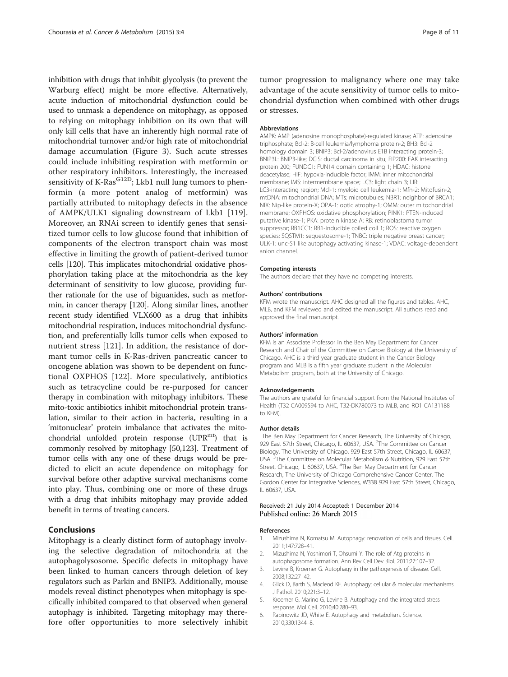<span id="page-7-0"></span>inhibition with drugs that inhibit glycolysis (to prevent the Warburg effect) might be more effective. Alternatively, acute induction of mitochondrial dysfunction could be used to unmask a dependence on mitophagy, as opposed to relying on mitophagy inhibition on its own that will only kill cells that have an inherently high normal rate of mitochondrial turnover and/or high rate of mitochondrial damage accumulation (Figure [3](#page-6-0)). Such acute stresses could include inhibiting respiration with metformin or other respiratory inhibitors. Interestingly, the increased sensitivity of K-Ras $^{G12D}$ ; Lkb1 null lung tumors to phenformin (a more potent analog of metformin) was partially attributed to mitophagy defects in the absence of AMPK/ULK1 signaling downstream of Lkb1 [\[119](#page-10-0)]. Moreover, an RNAi screen to identify genes that sensitized tumor cells to low glucose found that inhibition of components of the electron transport chain was most effective in limiting the growth of patient-derived tumor cells [\[120\]](#page-10-0). This implicates mitochondrial oxidative phosphorylation taking place at the mitochondria as the key determinant of sensitivity to low glucose, providing further rationale for the use of biguanides, such as metformin, in cancer therapy [[120](#page-10-0)]. Along similar lines, another recent study identified VLX600 as a drug that inhibits mitochondrial respiration, induces mitochondrial dysfunction, and preferentially kills tumor cells when exposed to nutrient stress [[121\]](#page-10-0). In addition, the resistance of dormant tumor cells in K-Ras-driven pancreatic cancer to oncogene ablation was shown to be dependent on functional OXPHOS [\[122](#page-10-0)]. More speculatively, antibiotics such as tetracycline could be re-purposed for cancer therapy in combination with mitophagy inhibitors. These mito-toxic antibiotics inhibit mitochondrial protein translation, similar to their action in bacteria, resulting in a 'mitonuclear' protein imbalance that activates the mitochondrial unfolded protein response  $(UPR<sup>mt</sup>)$  that is commonly resolved by mitophagy [\[50](#page-8-0)[,123\]](#page-10-0). Treatment of tumor cells with any one of these drugs would be predicted to elicit an acute dependence on mitophagy for survival before other adaptive survival mechanisms come into play. Thus, combining one or more of these drugs with a drug that inhibits mitophagy may provide added benefit in terms of treating cancers.

# Conclusions

Mitophagy is a clearly distinct form of autophagy involving the selective degradation of mitochondria at the autophagolysosome. Specific defects in mitophagy have been linked to human cancers through deletion of key regulators such as Parkin and BNIP3. Additionally, mouse models reveal distinct phenotypes when mitophagy is specifically inhibited compared to that observed when general autophagy is inhibited. Targeting mitophagy may therefore offer opportunities to more selectively inhibit tumor progression to malignancy where one may take advantage of the acute sensitivity of tumor cells to mitochondrial dysfunction when combined with other drugs or stresses.

#### Abbreviations

AMPK: AMP (adenosine monophosphate)-regulated kinase; ATP: adenosine triphosphate; Bcl-2: B-cell leukemia/lymphoma protein-2; BH3: Bcl-2 homology domain 3; BNIP3: Bcl-2/adenovirus E1B interacting protein-3; BNIP3L: BNIP3-like; DCIS: ductal carcinoma in situ; FIP200: FAK interacting protein 200; FUNDC1: FUN14 domain containing 1; HDAC: histone deacetylase; HIF: hypoxia-inducible factor; IMM: inner mitochondrial membrane; IMS: intermembrane space; LC3: light chain 3; LIR: LC3-interacting region; Mcl-1: myeloid cell leukemia-1; Mfn-2: Mitofusin-2; mtDNA: mitochondrial DNA; MTs: microtubules; NBR1: neighbor of BRCA1; NIX: Nip-like protein-X; OPA-1: optic atrophy-1; OMM: outer mitochondrial membrane; OXPHOS: oxidative phosphorylation; PINK1: PTEN-induced putative kinase-1; PKA: protein kinase A; RB: retinoblastoma tumor suppressor; RB1CC1: RB1-inducible coiled coil 1; ROS: reactive oxygen species; SQSTM1: sequestosome-1; TNBC: triple negative breast cancer; ULK-1: unc-51 like autophagy activating kinase-1; VDAC: voltage-dependent anion channel.

#### Competing interests

The authors declare that they have no competing interests.

#### Authors' contributions

KFM wrote the manuscript. AHC designed all the figures and tables. AHC, MLB, and KFM reviewed and edited the manuscript. All authors read and approved the final manuscript.

#### Authors' information

KFM is an Associate Professor in the Ben May Department for Cancer Research and Chair of the Committee on Cancer Biology at the University of Chicago. AHC is a third year graduate student in the Cancer Biology program and MLB is a fifth year graduate student in the Molecular Metabolism program, both at the University of Chicago.

#### Acknowledgements

The authors are grateful for financial support from the National Institutes of Health (T32 CA009594 to AHC, T32-DK780073 to MLB, and RO1 CA131188 to KFM).

#### Author details

<sup>1</sup>The Ben May Department for Cancer Research, The University of Chicago, 929 East 57th Street, Chicago, IL 60637, USA. <sup>2</sup>The Committee on Cancer Biology, The University of Chicago, 929 East 57th Street, Chicago, IL 60637, USA.<sup>3</sup>The Committee on Molecular Metabolism & Nutrition, 929 East 57th Street, Chicago, IL 60637, USA. <sup>4</sup>The Ben May Department for Cancer Research, The University of Chicago Comprehensive Cancer Center, The Gordon Center for Integrative Sciences, W338 929 East 57th Street, Chicago, IL 60637, USA.

#### Received: 21 July 2014 Accepted: 1 December 2014 Published online: 26 March 2015

#### References

- 1. Mizushima N, Komatsu M. Autophagy: renovation of cells and tissues. Cell. 2011;147:728–41.
- 2. Mizushima N, Yoshimori T, Ohsumi Y. The role of Atg proteins in autophagosome formation. Ann Rev Cell Dev Biol. 2011;27:107–32.
- 3. Levine B, Kroemer G. Autophagy in the pathogenesis of disease. Cell. 2008;132:27–42.
- 4. Glick D, Barth S, Macleod KF. Autophagy: cellular & molecular mechanisms. J Pathol. 2010;221:3–12.
- 5. Kroemer G, Marino G, Levine B. Autophagy and the integrated stress response. Mol Cell. 2010;40:280–93.
- 6. Rabinowitz JD, White E. Autophagy and metabolism. Science. 2010;330:1344–8.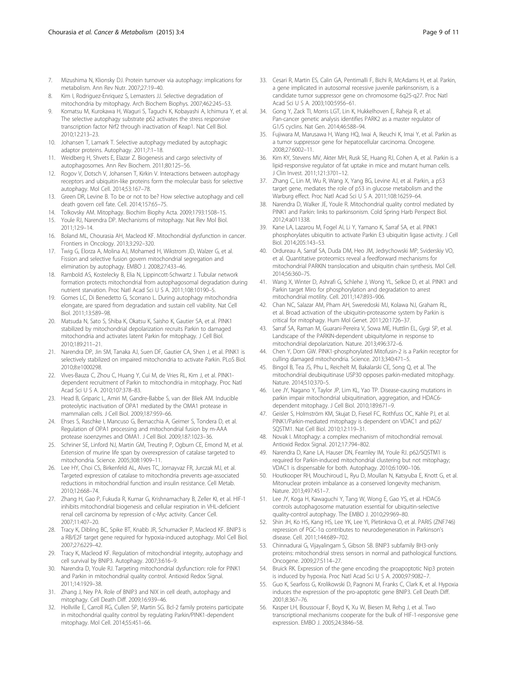- <span id="page-8-0"></span>7. Mizushima N, Klionsky DJ. Protein turnover via autophagy: implications for metabolism. Ann Rev Nutr. 2007;27:19–40.
- 8. Kim I, Rodriguez-Enriquez S, Lemasters JJ. Selective degradation of mitochondria by mitophagy. Arch Biochem Biophys. 2007;462:245–53.
- Komatsu M, Kurokawa H, Waguri S, Taguchi K, Kobayashi A, Ichimura Y, et al. The selective autophagy substrate p62 activates the stress responsive transcription factor Nrf2 through inactivation of Keap1. Nat Cell Biol. 2010;12:213–23.
- 10. Johansen T, Lamark T. Selective autophagy mediated by autophagic adaptor proteins. Autophagy. 2011;7:1–18.
- 11. Weidberg H, Shvets E, Elazar Z. Biogenesis and cargo selectivity of autophagosomes. Ann Rev Biochem. 2011;80:125–56.
- 12. Rogov V, Dotsch V, Johansen T, Kirkin V. Interactions between autophagy receptors and ubiquitin-like proteins form the molecular basis for selective autophagy. Mol Cell. 2014;53:167–78.
- 13. Green DR, Levine B. To be or not to be? How selective autophagy and cell death govern cell fate. Cell. 2014;157:65–75.
- 14. Tolkovsky AM. Mitophagy. Biochim Biophy Acta. 2009;1793:1508–15.
- 15. Youle RJ, Narendra DP. Mechanisms of mitophagy. Nat Rev Mol Biol. 2011;12:9–14.
- 16. Boland ML, Chourasia AH, Macleod KF. Mitochondrial dysfunction in cancer. Frontiers in Oncology. 2013;3:292–320.
- 17. Twig G, Elorza A, Molina AJ, Mohamed H, Wikstrom JD, Walzer G, et al. Fission and selective fusion govern mitochondrial segregation and elimination by autophagy. EMBO J. 2008;27:433–46.
- 18. Rambold AS, Kostelecky B, Elia N, Lippincott-Schwartz J. Tubular network formation protects mitochondrial from autophagosomal degradation during nutrient starvation. Proc Natl Acad Sci U S A. 2011;108:10190–5.
- 19. Gomes LC, Di Benedetto G, Scorrano L. During autophagy mitochondria elongate, are spared from degradation and sustain cell viability. Nat Cell Biol. 2011;13:589–98.
- 20. Matsuda N, Sato S, Shiba K, Okatsu K, Saisho K, Gautier SA, et al. PINK1 stabilized by mitochondrial depolarization recruits Parkin to damaged mitochondria and activates latent Parkin for mitophagy. J Cell Biol. 2010;189:211–21.
- 21. Narendra DP, Jin SM, Tanaka AJ, Suen DF, Gautier CA, Shen J, et al. PINK1 is selectively stabilized on impaired mitochondria to activate Parkin. PLoS Biol. 2010;8:e1000298.
- 22. Vives-Bauza C, Zhou C, Huang Y, Cui M, de Vries RL, Kim J, et al. PINK1 dependent recruitment of Parkin to mitochondria in mitophagy. Proc Natl Acad Sci U S A. 2010;107:378–83.
- 23. Head B, Griparic L, Amiri M, Gandre-Babbe S, van der Bliek AM. Inducible proteolytic inactivation of OPA1 mediated by the OMA1 protease in mammalian cells. J Cell Biol. 2009;187:959–66.
- 24. Ehses S, Raschke I, Mancuso G, Bernacchia A, Geimer S, Tondera D, et al. Regulation of OPA1 processing and mitochondrial fusion by m-AAA protease isoenzymes and OMA1. J Cell Biol. 2009;187:1023–36.
- 25. Schriner SE, Linford NJ, Martin GM, Treuting P, Ogburn CE, Emond M, et al. Extension of murine life span by overexpression of catalase targeted to mitochondria. Science. 2005;308:1909–11.
- 26. Lee HY, Choi CS, Birkenfeld AL, Alves TC, Jornayvaz FR, Jurczak MJ, et al. Targeted expression of catalase to mitochondria prevents age-associated reductions in mitochondrial function and insulin resistance. Cell Metab. 2010;12:668–74.
- 27. Zhang H, Gao P, Fukuda R, Kumar G, Krishnamachary B, Zeller KI, et al. HIF-1 inhibits mitochondrial biogenesis and cellular respiration in VHL-deficient renal cell carcinoma by repression of c-Myc activity. Cancer Cell. 2007;11:407–20.
- 28. Tracy K, Dibling BC, Spike BT, Knabb JR, Schumacker P, Macleod KF. BNIP3 is a RB/E2F target gene required for hypoxia-induced autophagy. Mol Cell Biol. 2007;27:6229–42.
- 29. Tracy K, Macleod KF. Regulation of mitochondrial integrity, autophagy and cell survival by BNIP3. Autophagy. 2007;3:616–9.
- 30. Narendra D, Youle RJ. Targeting mitochondrial dysfunction: role for PINK1 and Parkin in mitochondrial quality control. Antioxid Redox Signal. 2011;14:1929–38.
- 31. Zhang J, Ney PA. Role of BNIP3 and NIX in cell death, autophagy and mitophagy. Cell Death Diff. 2009;16:939–46.
- 32. Hollville E, Carroll RG, Cullen SP, Martin SG. Bcl-2 family proteins participate in mitochondrial quality control by regulating Parkin/PINK1-dependent mitophagy. Mol Cell. 2014;55:451–66.
- 33. Cesari R, Martin ES, Calin GA, Pentimalli F, Bichi R, McAdams H, et al. Parkin, a gene implicated in autosomal recessive juvenile parkinsonism, is a candidate tumor suppressor gene on chromosome 6q25-q27. Proc Natl Acad Sci U S A. 2003;100:5956–61.
- 34. Gong Y, Zack TI, Morris LGT, Lin K, Hukkelhoven E, Raheja R, et al. Pan-cancer genetic analysis identifies PARK2 as a master regulator of G1/S cyclins. Nat Gen. 2014;46:588–94.
- 35. Fujiwara M, Marusawa H, Wang HQ, Iwai A, Ikeuchi K, Imai Y, et al. Parkin as a tumor suppressor gene for hepatocellular carcinoma. Oncogene. 2008;27:6002–11.
- 36. Kim KY, Stevens MV, Akter MH, Rusk SE, Huang RJ, Cohen A, et al. Parkin is a lipid-responsive regulator of fat uptake in mice and mutant human cells. J Clin Invest. 2011;121:3701–12.
- 37. Zhang C, Lin M, Wu R, Wang X, Yang BG, Levine AJ, et al. Parkin, a p53 target gene, mediates the role of p53 in glucose metabolism and the Warburg effect. Proc Natl Acad Sci U S A. 2011;108:16259–64.
- 38. Narendra D, Walker JE, Youle R. Mitochondrial quality control mediated by PINK1 and Parkin: links to parkinsonism. Cold Spring Harb Perspect Biol. 2012;4:a011338.
- 39. Kane LA, Lazarou M, Fogel AI, Li Y, Yamano K, Sarraf SA, et al. PINK1 phosphorylates ubiquitin to activate Parkin E3 ubiquitin ligase activity. J Cell Biol. 2014;205:143–53.
- 40. Ordureau A, Sarraf SA, Duda DM, Heo JM, Jedrychowski MP, Sviderskiy VO, et al. Quantitative proteomics reveal a feedforward mechanisms for mitochondrial PARKIN translocation and ubiquitin chain synthesis. Mol Cell. 2014;56:360–75.
- 41. Wang X, Winter D, Ashrafi G, Schlehe J, Wong YL, Selkoe D, et al. PINK1 and Parkin target Miro for phosphorylation and degradation to arrest mitochondrial motility. Cell. 2011;147:893–906.
- 42. Chan NC, Salazar AM, Pham AH, Sweredoski MJ, Kolawa NJ, Graham RL, et al. Broad activation of the ubiquitin-proteasome system by Parkin is critical for mitophagy. Hum Mol Genet. 2011;20:1726–37.
- 43. Sarraf SA, Raman M, Guarani-Pereira V, Sowa ME, Huttlin EL, Gygi SP, et al. Landscape of the PARKIN-dependent ubiquitylome in response to mitochondrial depolarization. Nature. 2013;496:372–6.
- 44. Chen Y, Dorn GW. PINK1-phosphorylated Mitofusin-2 is a Parkin receptor for culling damaged mitochondria. Science. 2013;340:471–5.
- 45. Bingol B, Tea JS, Phu L, Reichelt M, Bakalarski CE, Song Q, et al. The mitochondrial deubiquitinase USP30 opposes parkin-mediated mitophagy. Nature. 2014;510:370–5.
- 46. Lee JY, Nagano Y, Taylor JP, Lim KL, Yao TP. Disease-causing mutations in parkin impair mitochondrial ubiquitination, aggregation, and HDAC6 dependent mitophagy. J Cell Biol. 2010;189:671–9.
- 47. Geisler S, Holmström KM, Skujat D, Fiesel FC, Rothfuss OC, Kahle PJ, et al. PINK1/Parkin-mediated mitophagy is dependent on VDAC1 and p62/ SQSTM1. Nat Cell Biol. 2010;12:119–31.
- 48. Novak I. Mitophagy: a complex mechanism of mitochondrial removal. Antioxid Redox Signal. 2012;17:794–802.
- 49. Narendra D, Kane LA, Hauser DN, Fearnley IM, Youle RJ. p62/SQSTM1 is required for Parkin-induced mitochondrial clustering but not mitophagy; VDAC1 is dispensable for both. Autophagy. 2010;6:1090–106.
- 50. Houtkooper RH, Mouchiroud L, Ryu D, Moullan N, Katsyuba E, Knott G, et al. Mitonuclear protein imbalance as a conserved longevity mechanism. Nature. 2013;497:451–7.
- 51. Lee JY, Koga H, Kawaguchi Y, Tang W, Wong E, Gao YS, et al. HDAC6 controls autophagosome maturation essential for ubiquitin-selective quality-control autophagy. The EMBO J. 2010;29:969–80.
- 52. Shin JH, Ko HS, Kang HS, Lee YK, Lee YI, Pletinkova O, et al. PARIS (ZNF746) repression of PGC-1α contributes to neurodegeneration in Parkinson's disease. Cell. 2011;144:689–702.
- 53. Chinnadurai G, Vijayalingam S, Gibson SB. BNIP3 subfamily BH3-only proteins: mitochondrial stress sensors in normal and pathological functions. Oncogene. 2009;27:S114–27.
- 54. Bruick RK. Expression of the gene encoding the proapoptotic Nip3 protein is induced by hypoxia. Proc Natl Acad Sci U S A. 2000;97:9082–7.
- 55. Guo K, Searfoss G, Krolikowski D, Pagnoni M, Franks C, Clark K, et al. Hypoxia induces the expression of the pro-apoptotic gene BNIP3. Cell Death Diff. 2001;8:367–76.
- 56. Kasper LH, Boussouar F, Boyd K, Xu W, Biesen M, Rehg J, et al. Two transcriptional mechanisms cooperate for the bulk of HIF-1-responsive gene expression. EMBO J. 2005;24:3846–58.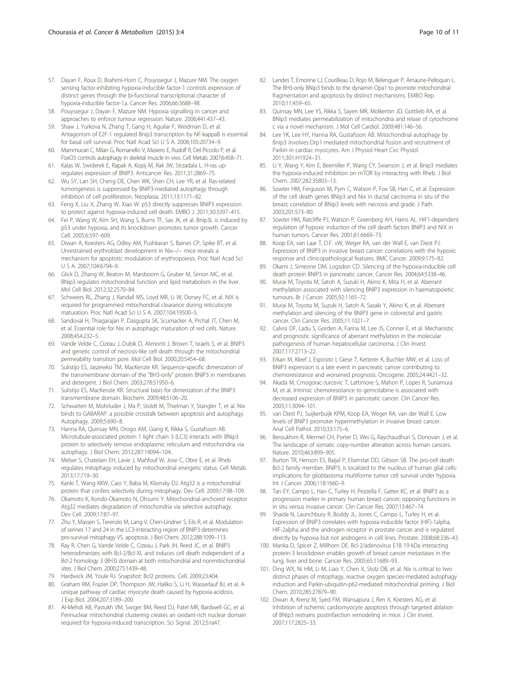- <span id="page-9-0"></span>57. Dayan F, Roux D, Brahimi-Horn C, Pouyssegur J, Mazure NM. The oxygen sensing factor-inhibiting hypoxia-inducible factor-1 controls expression of distinct genes through the bi-functional transcriptional character of hypoxia-inducible factor-1a. Cancer Res. 2006;66:3688–98.
- 58. Pouyssegur J, Dayan F, Mazure NM. Hypoxia signalling in cancer and approaches to enforce tumour regression. Nature. 2006;441:437–43.
- 59. Shaw J, Yurkova N, Zhang T, Gang H, Aguilar F, Weidman D, et al. Antagonism of E2F-1 regulated Bnip3 transcription by NF-kappaB is essential for basal cell survival. Proc Natl Acad Sci U S A. 2008;105:20734–9.
- 60. Mammucari C, Milan G, Romanello V, Masiero E, Rudolf R, Del Piccolo P, et al. FoxO3 controls autophagy in skeletal muscle in vivo. Cell Metab. 2007;6:458–71.
- 61. Kalas W, Swiderek E, Rapak A, Kopij M, Rak JW, Strzadala L. H-ras upregulates expression of BNIP3. Anticancer Res. 2011;31:2869–75.
- 62. Wu SY, Lan SH, Cheng DE, Chen WK, Shen CH, Lee YR, et al. Ras-related tumorigenesis is suppressed by BNIP3-mediated autophagy through inhibition of cell proliferation. Neoplasia. 2011;13:1171–82.
- 63. Feng X, Liu X, Zhang W, Xiao W. p53 directly suppresses BNIP3 expression to protect against hypoxia-induced cell death. EMBO J. 2011;30:3397–415.
- 64. Fei P, Wang W, Kim SH, Wang S, Burns TF, Sax JK, et al. Bnip3L is induced by p53 under hypoxia, and its knockdown promotes tumor growth. Cancer Cell. 2005;6:597–609.
- 65. Diwan A, Koesters AG, Odley AM, Pushkaran S, Baines CP, Spike BT, et al. Unrestrained erythroblast development in Nix−/− mice reveals a mechanism for apoptotic modulation of erythropoiesis. Proc Natl Acad Sci U S A. 2007;104:6794–9.
- 66. Glick D, Zhang W, Beaton M, Marsboom G, Gruber M, Simon MC, et al. BNip3 regulates mitochondrial function and lipid metabolism in the liver. Mol Cell Biol. 2012;32:2570–84.
- 67. Schweers RL, Zhang J, Randall MS, Loyd MR, Li W, Dorsey FC, et al. NIX is required for programmed mitochondrial clearance during reticulocyte maturation. Proc Natl Acad Sci U S A. 2007;104:19500–5.
- 68. Sandoval H, Thiagarajan P, Dasgupta SK, Scumacker A, Prchal JT, Chen M, et al. Essential role for Nix in autophagic maturation of red cells. Nature. 2008;454:232–5.
- 69. Vande Velde C, Cizeau J, Dubik D, Alimonti J, Brown T, Israels S, et al. BNIP3 and genetic control of necrosis-like cell death through the mitochondrial permeability transition pore. Mol Cell Biol. 2000;20:5454–68.
- 70. Sulistijo ES, Jaszewksi TM, MacKenzie KR. Sequence-specific dimerization of the transmembrane domain of the "BH3-only" protein BNIP3 in membranes and detergent. J Biol Chem. 2003;278:51950–6.
- 71. Sulistijo ES, MacKenzie KR. Structural basis for dimerization of the BNIP3 transmembrane domain. Biochem. 2009;48:5106–20.
- 72. Schwarten M, Mohrluder J, Ma P, Stoldt M, Thielman Y, Stangler T, et al. Nix binds to GABARAP: a possible crosstalk between apoptosis and autophagy. Autophagy. 2009;5:690–8.
- 73. Hanna RA, Quinsay MN, Orogo AM, Giang K, Rikka S, Gustafsson AB. Microtubule-associated protein 1 light chain 3 (LC3) interacts with BNip3 protein to selectively remove endoplasmic reticulum and mitochondria via autophagy. J Biol Chem. 2012;287:19094–104.
- 74. Melser S, Chatelain EH, Lavie J, Mahfouf W, Jose C, Obre E, et al. Rheb regulates mitophagy induced by mitochondrial energetic status. Cell Metab. 2013;17:719–30.
- 75. Kanki T, Wang KKW, Caio Y, Baba M, Klionsky DJ. Atg32 is a mitochondrial protein that confers selectivity during mitophagy. Dev Cell. 2009;17:98–109.
- 76. Okamoto K, Kondo-Okamoto N, Ohsumi Y. Mitochondrial-anchored receptor Atg32 mediates degradation of mitochondria via selective autophagy. Dev Cell. 2009;17:87–97.
- 77. Zhu Y, Massen S, Terenzio M, Lang V, Chen-Lindner S, Eils R, et al. Modulation of serines 17 and 24 in the LC3-interacting region of BNIP3 determines pro-survival mitophagy VS. apoptosis. J Biol Chem. 2012;288:1099–113.
- 78. Ray R, Chen G, Vande Velde C, Cizeau J, Park JH, Reed JC, et al. BNIP3 heterodimerizes with Bcl-2/Bcl-XL and induces cell death independent of a Bcl-2 homology 3 (BH3) domain at both mitochondrial and nonmitochondrial sites. J Biol Chem. 2000;275:1439–48.
- 79. Hardwick JM, Youle RJ. Snapshot: Bcl2 proteins. Cell. 2009;23:404.
- 80. Graham RM, Frazier DP, Thompson JW, Haliko S, Li H, Wasserlauf BJ, et al. A unique pathway of cardiac myocyte death caused by hypoxia-acidosis. J Exp Biol. 2004;207:3189–200.
- 81. Al-Mehdi AB, Pastukh VM, Swiger BM, Reed DJ, Patel MR, Bardwell GC, et al. Perinuclear mitochondrial clustering creates an oxidant-rich nuclear domain required for hypoxia-induced transcription. Sci Signal. 2012;5:ra47.
- 82. Landes T, Emorine LJ, Courilleau D, Rojo M, Belenguer P, Arnaune-Pelloquin L. The BH3-only BNip3 binds to the dynamin Opa1 to promote mitochondrial fragmentation and apoptosis by distinct mechanisms. EMBO Rep. 2010;11:459–65.
- 83. Quinsay MN, Lee YS, Rikka S, Sayen MR, Molkentin JD, Gottlieb RA, et al. BNip3 mediates permeabilization of mitochondria and relase of cytochrome c via a novel mechanism. J Mol Cell Cardiol. 2009;481:146–56.
- 84. Lee YK, Lee HY, Hanna RA, Gustafsson AB. Mitochondrial autophagy by Bnip3 involves Drp1-mediated mitochondrial fission and recruitment of Parkin in cardiac myocytes. Am J Physiol Heart Circ Physiol. 2011;301:H1924–31.
- 85. Li Y, Wang Y, Kim E, Beemiller P, Wang CY, Swanson J, et al. Bnip3 mediates the hypoxia-induced inhibition on mTOR by interacting with Rheb. J Biol Chem. 2007;282:35803–13.
- 86. Sowter HM, Ferguson M, Pym C, Watson P, Fox SB, Han C, et al. Expression of the cell death genes BNip3 and Nix in ductal carcinoma in situ of the breast; correlation of BNip3 levels with necrosis and grade. J Path. 2003;201:573–80.
- 87. Sowter HM, Ratcliffe PJ, Watson P, Greenberg AH, Harris AL. HIF1-dependent regulation of hypoxic induction of the cell death factors BNIP3 and NIX in human tumors. Cancer Res. 2001;61:6669–73.
- 88. Koop EA, van Laar T, D.F. vW, Weger RA, van der Wall E, van Diest PJ. Expression of BNIP3 in invasive breast cancer: correlations with the hypoxic response and clinicopathological features. BMC Cancer. 2009;9:175–82.
- Okami J, Simeone DM, Logsdon CD. Silencing of the hypoxia-inducible cell death protein BNIP3 in pancreatic cancer. Cancer Res. 2004;64:5338–46.
- 90. Murai M, Toyota M, Satoh A, Suzuki H, Akino K, Mita H, et al. Aberrant methylation associated with silencing BNIP3 expression in haematopoietic tumours. Br J Cancer. 2005;92:1165–72.
- 91. Murai M, Toyota M, Suzuki H, Satoh A, Sasaki Y, Akino K, et al. Aberrant methylation and silencing of the BNIP3 gene in colorectal and gastric cancer. Clin Cancer Res. 2005;11:1021–7.
- 92. Calvisi DF, Ladu S, Gorden A, Farina M, Lee JS, Conner E, et al. Mechanistic and prognostic significance of aberrant methylation in the molecular pathogenesis of human hepatocellular carcinoma. J Clin Invest. 2007;117:2713–22.
- 93. Erkan M, Kleef J, Esposito I, Giese T, Ketterer K, Buchler MW, et al. Loss of BNIP3 expression is a late event in pancreatic cancer contributing to chemoresistance and worsened prognosis. Oncogene. 2005;24:4421–32.
- 94. Akada M, Crnogorac-Jurcevic T, Lattimore S, Mahon P, Lopes R, Sunamura M, et al. Intrinsic chemoresistance to gemcitabine is associated with decreased expression of BNIP3 in pancreatic cancer. Clin Cancer Res. 2005;11:3094–101.
- 95. van Diest PJ, Suijkerbuijk KPM, Koop EA, Weger RA, van der Wall E. Low levels of BNIP3 promoter hypermethylation in invasive breast cancer. Anal Cell Pathol. 2010;33:175–6.
- Beroukhim R, Mermel CH, Porter D, Wei G, Raychaudhuri S, Donovan J, et al. The landscape of somatic copy-number alteration across human cancers. Nature. 2010;463:899–905.
- 97. Burton TR, Henson ES, Baijal P, Elsenstat DD, Gibson SB. The pro-cell death Bcl-2 family member, BNIP3, is localized to the nucleus of human glial cells: implications for glioblastoma multiforme tumor cell survival under hypoxia. Int J Cancer. 2006;118:1660–9.
- 98. Tan EY, Campo L, Han C, Turley H, Pezzella F, Gatter KC, et al. BNIP3 as a progression marker in primary human breast cancer; opposing functions in in situ versus invasive cancer. Clin Cancer Res. 2007;13:467–74.
- Shaida N, Launchbury R, Boddy JL, Jones C, Campo L, Turley H, et al. Expression of BNIP3 correlates with hypoxia-inducible factor (HIF)-1alpha, HIF-2alpha and the androgen receptor in prostate cancer and is regulated directly by hypoxia but not androgens in cell lines. Prostate. 2008;68:336–43.
- 100. Manka D, Spicer Z, Millhorn DE. Bcl-2/adenovirus E1B 19 kDa interacting protein-3 knockdown enables growth of breast cancer metastases in the lung, liver and bone. Cancer Res. 2005;65:11689–93.
- 101. Ding WX, Ni HM, Li M, Liao Y, Chen X, Stolz DB, et al. Nix is critical to two distinct phases of mitophagy, reactive oxygen species-mediated autophagy induction and Parkin-ubiquitin-p62-mediated mitochondrial priming. J Biol Chem. 2010;285:27879–90.
- 102. Diwan A, Krenz M, Syed FM, Wansapura J, Ren X, Koesters AG, et al. Inhibition of ischemic cardiomyocyte apoptosis through targeted ablation of BNip3 restrains postinfarction remodeling in mice. J Clin Invest. 2007;117:2825–33.